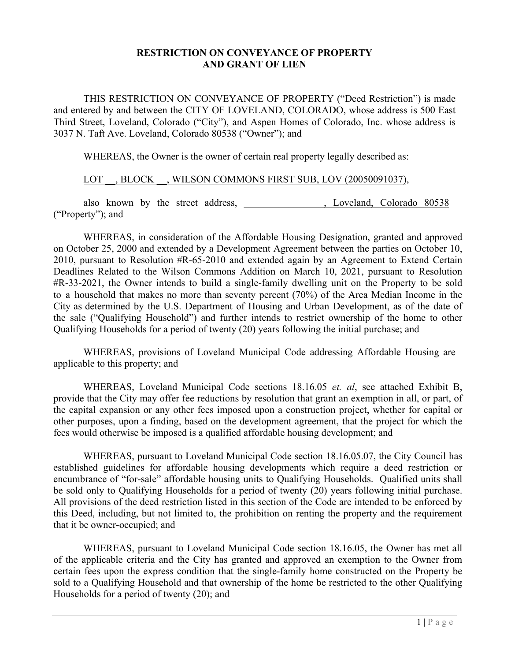# **RESTRICTION ON CONVEYANCE OF PROPERTY AND GRANT OF LIEN**

THIS RESTRICTION ON CONVEYANCE OF PROPERTY ("Deed Restriction") is made and entered by and between the CITY OF LOVELAND, COLORADO, whose address is 500 East Third Street, Loveland, Colorado ("City"), and Aspen Homes of Colorado, Inc. whose address is 3037 N. Taft Ave. Loveland, Colorado 80538 ("Owner"); and

WHEREAS, the Owner is the owner of certain real property legally described as:

## LOT , BLOCK , WILSON COMMONS FIRST SUB, LOV (20050091037),

also known by the street address, the street address, the street address, the street address, the street and solid subset of  $\sim$  5.888 section of  $\sim$  5.888 section of  $\sim$  5.888 section of  $\sim$  5.888 section of  $\sim$  5.88 ("Property"); and

WHEREAS, in consideration of the Affordable Housing Designation, granted and approved on October 25, 2000 and extended by a Development Agreement between the parties on October 10, 2010, pursuant to Resolution #R-65-2010 and extended again by an Agreement to Extend Certain Deadlines Related to the Wilson Commons Addition on March 10, 2021, pursuant to Resolution #R-33-2021, the Owner intends to build a single-family dwelling unit on the Property to be sold to a household that makes no more than seventy percent (70%) of the Area Median Income in the City as determined by the U.S. Department of Housing and Urban Development, as of the date of the sale ("Qualifying Household") and further intends to restrict ownership of the home to other Qualifying Households for a period of twenty (20) years following the initial purchase; and

WHEREAS, provisions of Loveland Municipal Code addressing Affordable Housing are applicable to this property; and

WHEREAS, Loveland Municipal Code sections 18.16.05 *et. al*, see attached Exhibit B, provide that the City may offer fee reductions by resolution that grant an exemption in all, or part, of the capital expansion or any other fees imposed upon a construction project, whether for capital or other purposes, upon a finding, based on the development agreement, that the project for which the fees would otherwise be imposed is a qualified affordable housing development; and

WHEREAS, pursuant to Loveland Municipal Code section 18.16.05.07, the City Council has established guidelines for affordable housing developments which require a deed restriction or encumbrance of "for-sale" affordable housing units to Qualifying Households. Qualified units shall be sold only to Qualifying Households for a period of twenty (20) years following initial purchase. All provisions of the deed restriction listed in this section of the Code are intended to be enforced by this Deed, including, but not limited to, the prohibition on renting the property and the requirement that it be owner-occupied; and

WHEREAS, pursuant to Loveland Municipal Code section 18.16.05, the Owner has met all of the applicable criteria and the City has granted and approved an exemption to the Owner from certain fees upon the express condition that the single-family home constructed on the Property be sold to a Qualifying Household and that ownership of the home be restricted to the other Qualifying Households for a period of twenty (20); and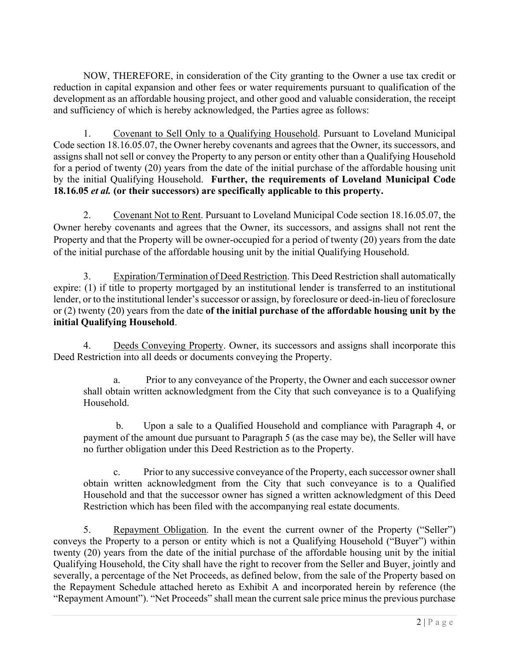NOW, THEREFORE, in consideration of the City granting to the Owner a use tax credit or reduction in capital expansion and other fees or water requirements pursuant to qualification of the development as an affordable housing project, and other good and valuable consideration, the receipt and sufficiency of which is hereby acknowledged, the Parties agree as follows:

1. Covenant to Sell Only to a Qualifying Household. Pursuant to Loveland Municipal Code section 18.16.05.07, the Owner hereby covenants and agrees that the Owner, its successors, and assigns shall not sell or convey the Property to any person or entity other than a Qualifying Household for a period of twenty (20) years from the date of the initial purchase of the affordable housing unit by the initial Qualifying Household. **Further, the requirements of Loveland Municipal Code 18.16.05** *et al.* **(or their successors) are specifically applicable to this property.** 

2. Covenant Not to Rent. Pursuant to Loveland Municipal Code section 18.16.05.07, the Owner hereby covenants and agrees that the Owner, its successors, and assigns shall not rent the Property and that the Property will be owner-occupied for a period of twenty (20) years from the date of the initial purchase of the affordable housing unit by the initial Qualifying Household.

3. Expiration/Termination of Deed Restriction. This Deed Restriction shall automatically expire: (1) if title to property mortgaged by an institutional lender is transferred to an institutional lender, or to the institutional lender's successor or assign, by foreclosure or deed-in-lieu of foreclosure or (2) twenty (20) years from the date **of the initial purchase of the affordable housing unit by the initial Qualifying Household**.

4. Deeds Conveying Property. Owner, its successors and assigns shall incorporate this Deed Restriction into all deeds or documents conveying the Property.

a. Prior to any conveyance of the Property, the Owner and each successor owner shall obtain written acknowledgment from the City that such conveyance is to a Qualifying Household.

 b. Upon a sale to a Qualified Household and compliance with Paragraph 4, or payment of the amount due pursuant to Paragraph 5 (as the case may be), the Seller will have no further obligation under this Deed Restriction as to the Property.

c. Prior to any successive conveyance of the Property, each successor owner shall obtain written acknowledgment from the City that such conveyance is to a Qualified Household and that the successor owner has signed a written acknowledgment of this Deed Restriction which has been filed with the accompanying real estate documents.

5. Repayment Obligation. In the event the current owner of the Property ("Seller") conveys the Property to a person or entity which is not a Qualifying Household ("Buyer") within twenty (20) years from the date of the initial purchase of the affordable housing unit by the initial Qualifying Household, the City shall have the right to recover from the Seller and Buyer, jointly and severally, a percentage of the Net Proceeds, as defined below, from the sale of the Property based on the Repayment Schedule attached hereto as Exhibit A and incorporated herein by reference (the "Repayment Amount"). "Net Proceeds" shall mean the current sale price minus the previous purchase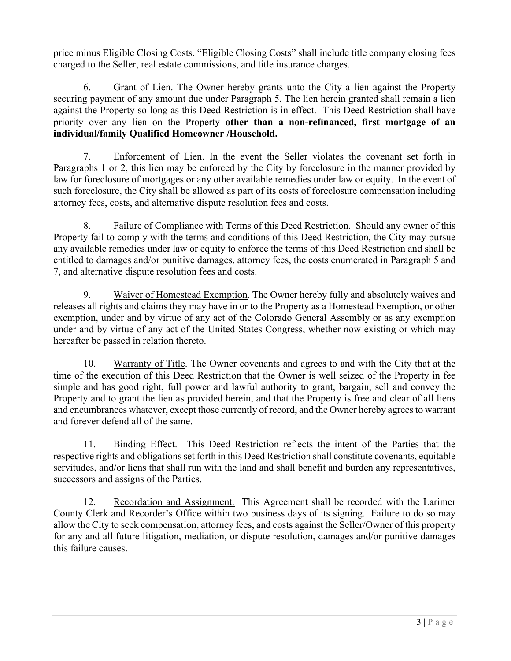price minus Eligible Closing Costs. "Eligible Closing Costs" shall include title company closing fees charged to the Seller, real estate commissions, and title insurance charges.

6. Grant of Lien. The Owner hereby grants unto the City a lien against the Property securing payment of any amount due under Paragraph 5. The lien herein granted shall remain a lien against the Property so long as this Deed Restriction is in effect. This Deed Restriction shall have priority over any lien on the Property **other than a non-refinanced, first mortgage of an individual/family Qualified Homeowner /Household.**

7. Enforcement of Lien. In the event the Seller violates the covenant set forth in Paragraphs 1 or 2, this lien may be enforced by the City by foreclosure in the manner provided by law for foreclosure of mortgages or any other available remedies under law or equity. In the event of such foreclosure, the City shall be allowed as part of its costs of foreclosure compensation including attorney fees, costs, and alternative dispute resolution fees and costs.

8. Failure of Compliance with Terms of this Deed Restriction. Should any owner of this Property fail to comply with the terms and conditions of this Deed Restriction, the City may pursue any available remedies under law or equity to enforce the terms of this Deed Restriction and shall be entitled to damages and/or punitive damages, attorney fees, the costs enumerated in Paragraph 5 and 7, and alternative dispute resolution fees and costs.

9. Waiver of Homestead Exemption. The Owner hereby fully and absolutely waives and releases all rights and claims they may have in or to the Property as a Homestead Exemption, or other exemption, under and by virtue of any act of the Colorado General Assembly or as any exemption under and by virtue of any act of the United States Congress, whether now existing or which may hereafter be passed in relation thereto.

10. Warranty of Title. The Owner covenants and agrees to and with the City that at the time of the execution of this Deed Restriction that the Owner is well seized of the Property in fee simple and has good right, full power and lawful authority to grant, bargain, sell and convey the Property and to grant the lien as provided herein, and that the Property is free and clear of all liens and encumbrances whatever, except those currently of record, and the Owner hereby agrees to warrant and forever defend all of the same.

11. Binding Effect. This Deed Restriction reflects the intent of the Parties that the respective rights and obligations set forth in this Deed Restriction shall constitute covenants, equitable servitudes, and/or liens that shall run with the land and shall benefit and burden any representatives, successors and assigns of the Parties.

12. Recordation and Assignment. This Agreement shall be recorded with the Larimer County Clerk and Recorder's Office within two business days of its signing. Failure to do so may allow the City to seek compensation, attorney fees, and costs against the Seller/Owner of this property for any and all future litigation, mediation, or dispute resolution, damages and/or punitive damages this failure causes.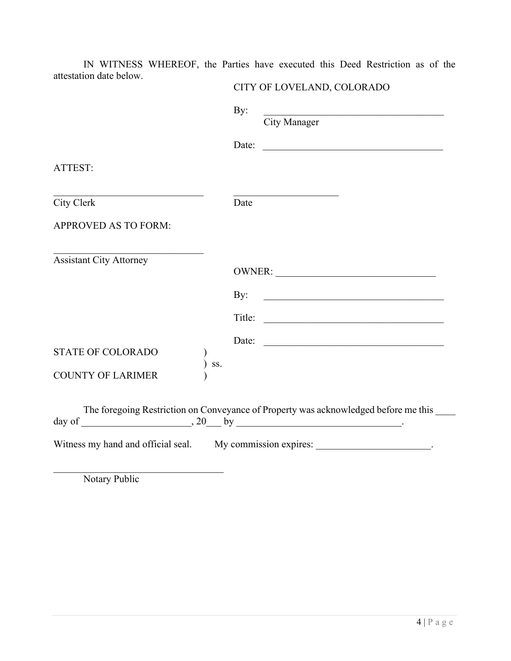IN WITNESS WHEREOF, the Parties have executed this Deed Restriction as of the attestation date below.

|                                                                                          | By:    | <u> 1989 - Johann Barn, mars ann an t-Amhain an t-Amhain an t-Amhain an t-Amhain an t-Amhain an t-Amhain an t-Amh</u><br>City Manager |  |  |
|------------------------------------------------------------------------------------------|--------|---------------------------------------------------------------------------------------------------------------------------------------|--|--|
|                                                                                          | Date:  | <u> 2000 - 2000 - 2000 - 2000 - 2000 - 2000 - 2000 - 2000 - 2000 - 2000 - 2000 - 2000 - 2000 - 2000 - 2000 - 200</u>                  |  |  |
| ATTEST:                                                                                  |        |                                                                                                                                       |  |  |
| City Clerk                                                                               | Date   |                                                                                                                                       |  |  |
| <b>APPROVED AS TO FORM:</b>                                                              |        |                                                                                                                                       |  |  |
| the control of the control of the<br><b>Assistant City Attorney</b>                      |        |                                                                                                                                       |  |  |
|                                                                                          | By:    | <u> 1989 - Johann John Stone, mars et al. 1989 - John Stone, mars et al. 1989 - John Stone, mars et al. 1989 - John Stone</u>         |  |  |
|                                                                                          | Title: | <u> 1989 - Johann Barbara, martin da kasas a</u>                                                                                      |  |  |
| <b>STATE OF COLORADO</b>                                                                 | Date:  | <u> 1980 - Andrea Station, amerikansk politik (</u>                                                                                   |  |  |
| SS.<br><b>COUNTY OF LARIMER</b>                                                          |        |                                                                                                                                       |  |  |
| The foregoing Restriction on Conveyance of Property was acknowledged before me this ____ |        |                                                                                                                                       |  |  |
| Witness my hand and official seal. My commission expires:                                |        |                                                                                                                                       |  |  |

Notary Public

CITY OF LOVELAND, COLORADO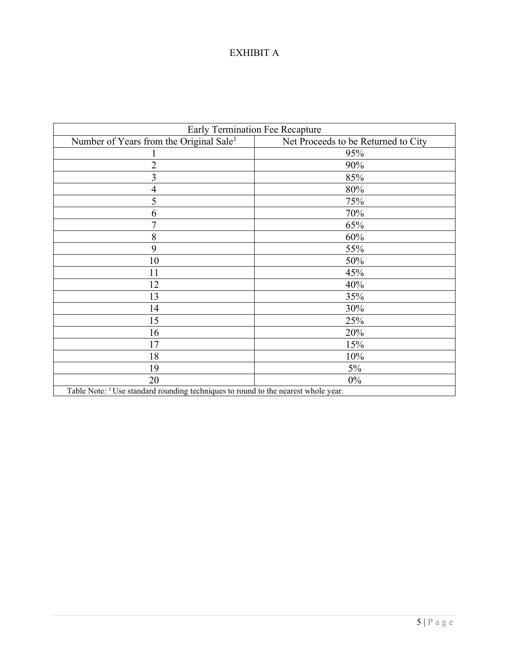# EXHIBIT A

| <b>Early Termination Fee Recapture</b>                                                        |                                     |  |
|-----------------------------------------------------------------------------------------------|-------------------------------------|--|
| Number of Years from the Original Sale <sup>1</sup>                                           | Net Proceeds to be Returned to City |  |
|                                                                                               | 95%                                 |  |
| $\overline{2}$                                                                                | 90%                                 |  |
| 3                                                                                             | 85%                                 |  |
| $\overline{4}$                                                                                | 80%                                 |  |
| 5                                                                                             | 75%                                 |  |
| 6                                                                                             | 70%                                 |  |
| $\overline{7}$                                                                                | 65%                                 |  |
| 8                                                                                             | 60%                                 |  |
| 9                                                                                             | 55%                                 |  |
| 10                                                                                            | 50%                                 |  |
| 11                                                                                            | 45%                                 |  |
| 12                                                                                            | 40%                                 |  |
| 13                                                                                            | 35%                                 |  |
| 14                                                                                            | 30%                                 |  |
| 15                                                                                            | 25%                                 |  |
| 16                                                                                            | 20%                                 |  |
| 17                                                                                            | 15%                                 |  |
| 18                                                                                            | 10%                                 |  |
| 19                                                                                            | $5\%$                               |  |
| 20                                                                                            | $0\%$                               |  |
| Table Note: <sup>1</sup> Use standard rounding techniques to round to the nearest whole year. |                                     |  |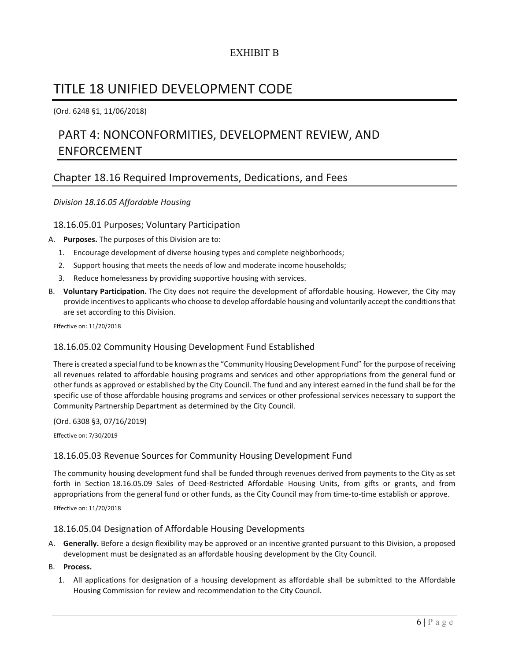# EXHIBIT B

# TITLE 18 UNIFIED DEVELOPMENT CODE

(Ord. 6248 §1, 11/06/2018)

# PART 4: NONCONFORMITIES, DEVELOPMENT REVIEW, AND ENFORCEMENT

# Chapter 18.16 Required Improvements, Dedications, and Fees

## *Division 18.16.05 Affordable Housing*

## 18.16.05.01 Purposes; Voluntary Participation

- A. **Purposes.** The purposes of this Division are to:
	- 1. Encourage development of diverse housing types and complete neighborhoods;
	- 2. Support housing that meets the needs of low and moderate income households;
	- 3. Reduce homelessness by providing supportive housing with services.
- B. **Voluntary Participation.** The City does not require the development of affordable housing. However, the City may provide incentives to applicants who choose to develop affordable housing and voluntarily accept the conditions that are set according to this Division.

Effective on: 11/20/2018

## 18.16.05.02 Community Housing Development Fund Established

There is created a special fund to be known as the "Community Housing Development Fund" for the purpose of receiving all revenues related to affordable housing programs and services and other appropriations from the general fund or other funds as approved or established by the City Council. The fund and any interest earned in the fund shall be for the specific use of those affordable housing programs and services or other professional services necessary to support the Community Partnership Department as determined by the City Council.

#### (Ord. 6308 §3, 07/16/2019)

Effective on: 7/30/2019

## 18.16.05.03 Revenue Sources for Community Housing Development Fund

The community housing development fund shall be funded through revenues derived from payments to the City as set forth in Section 18.16.05.09 Sales of Deed‐Restricted Affordable Housing Units, from gifts or grants, and from appropriations from the general fund or other funds, as the City Council may from time-to-time establish or approve.

Effective on: 11/20/2018

#### 18.16.05.04 Designation of Affordable Housing Developments

A. **Generally.** Before a design flexibility may be approved or an incentive granted pursuant to this Division, a proposed development must be designated as an affordable housing development by the City Council.

#### B. **Process.**

1. All applications for designation of a housing development as affordable shall be submitted to the Affordable Housing Commission for review and recommendation to the City Council.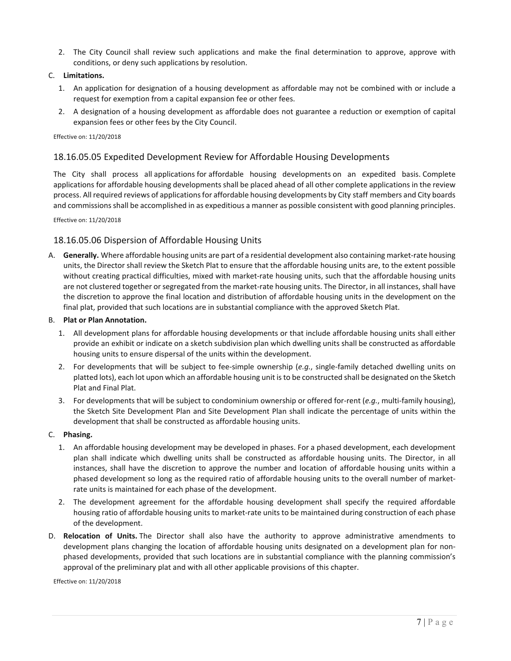2. The City Council shall review such applications and make the final determination to approve, approve with conditions, or deny such applications by resolution.

#### C. **Limitations.**

- 1. An application for designation of a housing development as affordable may not be combined with or include a request for exemption from a capital expansion fee or other fees.
- 2. A designation of a housing development as affordable does not guarantee a reduction or exemption of capital expansion fees or other fees by the City Council.

#### Effective on: 11/20/2018

## 18.16.05.05 Expedited Development Review for Affordable Housing Developments

The City shall process all applications for affordable housing developments on an expedited basis. Complete applications for affordable housing developments shall be placed ahead of all other complete applications in the review process. All required reviews of applicationsfor affordable housing developments by City staff members and City boards and commissionsshall be accomplished in as expeditious a manner as possible consistent with good planning principles.

Effective on: 11/20/2018

## 18.16.05.06 Dispersion of Affordable Housing Units

A. **Generally.** Where affordable housing units are part of a residential development also containing market‐rate housing units, the Director shall review the Sketch Plat to ensure that the affordable housing units are, to the extent possible without creating practical difficulties, mixed with market-rate housing units, such that the affordable housing units are not clustered together or segregated from the market-rate housing units. The Director, in all instances, shall have the discretion to approve the final location and distribution of affordable housing units in the development on the final plat, provided that such locations are in substantial compliance with the approved Sketch Plat.

#### B. **Plat or Plan Annotation.**

- 1. All development plans for affordable housing developments or that include affordable housing units shall either provide an exhibit or indicate on a sketch subdivision plan which dwelling units shall be constructed as affordable housing units to ensure dispersal of the units within the development.
- 2. For developments that will be subject to fee‐simple ownership (*e.g.*, single‐family detached dwelling units on platted lots), each lot upon which an affordable housing unit isto be constructed shall be designated on the Sketch Plat and Final Plat.
- 3. For developments that will be subject to condominium ownership or offered for‐rent (*e.g.*, multi‐family housing), the Sketch Site Development Plan and Site Development Plan shall indicate the percentage of units within the development that shall be constructed as affordable housing units.

#### C. **Phasing.**

- 1. An affordable housing development may be developed in phases. For a phased development, each development plan shall indicate which dwelling units shall be constructed as affordable housing units. The Director, in all instances, shall have the discretion to approve the number and location of affordable housing units within a phased development so long as the required ratio of affordable housing units to the overall number of market‐ rate units is maintained for each phase of the development.
- 2. The development agreement for the affordable housing development shall specify the required affordable housing ratio of affordable housing units to market‐rate units to be maintained during construction of each phase of the development.
- D. **Relocation of Units.** The Director shall also have the authority to approve administrative amendments to development plans changing the location of affordable housing units designated on a development plan for non‐ phased developments, provided that such locations are in substantial compliance with the planning commission's approval of the preliminary plat and with all other applicable provisions of this chapter.

Effective on: 11/20/2018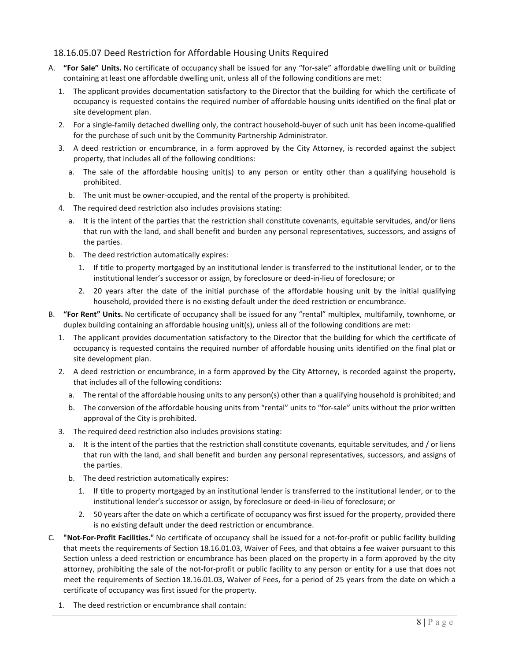## 18.16.05.07 Deed Restriction for Affordable Housing Units Required

- A. **"For Sale" Units.** No certificate of occupancy shall be issued for any "for‐sale" affordable dwelling unit or building containing at least one affordable dwelling unit, unless all of the following conditions are met:
	- 1. The applicant provides documentation satisfactory to the Director that the building for which the certificate of occupancy is requested contains the required number of affordable housing units identified on the final plat or site development plan.
	- 2. For a single-family detached dwelling only, the contract household-buyer of such unit has been income-qualified for the purchase of such unit by the Community Partnership Administrator.
	- 3. A deed restriction or encumbrance, in a form approved by the City Attorney, is recorded against the subject property, that includes all of the following conditions:
		- a. The sale of the affordable housing unit(s) to any person or entity other than a qualifying household is prohibited.
		- b. The unit must be owner‐occupied, and the rental of the property is prohibited.
	- 4. The required deed restriction also includes provisions stating:
		- a. It is the intent of the parties that the restriction shall constitute covenants, equitable servitudes, and/or liens that run with the land, and shall benefit and burden any personal representatives, successors, and assigns of the parties.
		- b. The deed restriction automatically expires:
			- 1. If title to property mortgaged by an institutional lender is transferred to the institutional lender, or to the institutional lender's successor or assign, by foreclosure or deed‐in‐lieu of foreclosure; or
			- 2. 20 years after the date of the initial purchase of the affordable housing unit by the initial qualifying household, provided there is no existing default under the deed restriction or encumbrance.
- B. **"For Rent" Units.** No certificate of occupancy shall be issued for any "rental" multiplex, multifamily, townhome, or duplex building containing an affordable housing unit(s), unless all of the following conditions are met:
	- 1. The applicant provides documentation satisfactory to the Director that the building for which the certificate of occupancy is requested contains the required number of affordable housing units identified on the final plat or site development plan.
	- 2. A deed restriction or encumbrance, in a form approved by the City Attorney, is recorded against the property, that includes all of the following conditions:
		- a. The rental of the affordable housing units to any person(s) other than a qualifying household is prohibited; and
		- b. The conversion of the affordable housing units from "rental" units to "for‐sale" units without the prior written approval of the City is prohibited.
	- 3. The required deed restriction also includes provisions stating:
		- a. It is the intent of the parties that the restriction shall constitute covenants, equitable servitudes, and / or liens that run with the land, and shall benefit and burden any personal representatives, successors, and assigns of the parties.
		- b. The deed restriction automatically expires:
			- 1. If title to property mortgaged by an institutional lender is transferred to the institutional lender, or to the institutional lender's successor or assign, by foreclosure or deed‐in‐lieu of foreclosure; or
			- 2. 50 years after the date on which a certificate of occupancy was first issued for the property, provided there is no existing default under the deed restriction or encumbrance.
- C. **"Not‐For‐Profit Facilities."** No certificate of occupancy shall be issued for a not‐for‐profit or public facility building that meets the requirements of Section 18.16.01.03, Waiver of Fees, and that obtains a fee waiver pursuant to this Section unless a deed restriction or encumbrance has been placed on the property in a form approved by the city attorney, prohibiting the sale of the not-for-profit or public facility to any person or entity for a use that does not meet the requirements of Section 18.16.01.03, Waiver of Fees, for a period of 25 years from the date on which a certificate of occupancy was first issued for the property.
	- 1. The deed restriction or encumbrance shall contain: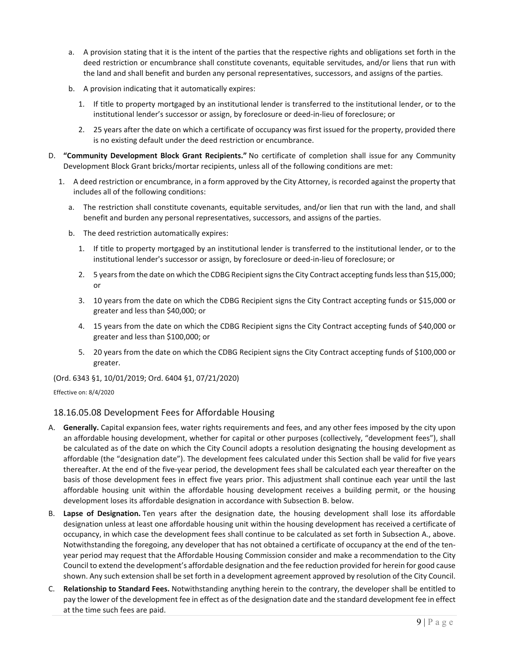- a. A provision stating that it is the intent of the parties that the respective rights and obligations set forth in the deed restriction or encumbrance shall constitute covenants, equitable servitudes, and/or liens that run with the land and shall benefit and burden any personal representatives, successors, and assigns of the parties.
- b. A provision indicating that it automatically expires:
	- 1. If title to property mortgaged by an institutional lender is transferred to the institutional lender, or to the institutional lender's successor or assign, by foreclosure or deed‐in‐lieu of foreclosure; or
	- 2. 25 years after the date on which a certificate of occupancy was first issued for the property, provided there is no existing default under the deed restriction or encumbrance.
- D. **"Community Development Block Grant Recipients."** No certificate of completion shall issue for any Community Development Block Grant bricks/mortar recipients, unless all of the following conditions are met:
	- 1. A deed restriction or encumbrance, in a form approved by the City Attorney, is recorded against the property that includes all of the following conditions:
		- a. The restriction shall constitute covenants, equitable servitudes, and/or lien that run with the land, and shall benefit and burden any personal representatives, successors, and assigns of the parties.
		- b. The deed restriction automatically expires:
			- 1. If title to property mortgaged by an institutional lender is transferred to the institutional lender, or to the institutional lender's successor or assign, by foreclosure or deed‐in‐lieu of foreclosure; or
			- 2. 5 years from the date on which the CDBG Recipient signs the City Contract accepting funds less than \$15,000; or
			- 3. 10 years from the date on which the CDBG Recipient signs the City Contract accepting funds or \$15,000 or greater and less than \$40,000; or
			- 4. 15 years from the date on which the CDBG Recipient signs the City Contract accepting funds of \$40,000 or greater and less than \$100,000; or
			- 5. 20 years from the date on which the CDBG Recipient signs the City Contract accepting funds of \$100,000 or greater.

(Ord. 6343 §1, 10/01/2019; Ord. 6404 §1, 07/21/2020)

Effective on: 8/4/2020

## 18.16.05.08 Development Fees for Affordable Housing

- A. **Generally.** Capital expansion fees, water rights requirements and fees, and any other fees imposed by the city upon an affordable housing development, whether for capital or other purposes (collectively, "development fees"), shall be calculated as of the date on which the City Council adopts a resolution designating the housing development as affordable (the "designation date"). The development fees calculated under this Section shall be valid for five years thereafter. At the end of the five‐year period, the development fees shall be calculated each year thereafter on the basis of those development fees in effect five years prior. This adjustment shall continue each year until the last affordable housing unit within the affordable housing development receives a building permit, or the housing development loses its affordable designation in accordance with Subsection B. below.
- B. **Lapse of Designation.** Ten years after the designation date, the housing development shall lose its affordable designation unless at least one affordable housing unit within the housing development has received a certificate of occupancy, in which case the development fees shall continue to be calculated as set forth in Subsection A., above. Notwithstanding the foregoing, any developer that has not obtained a certificate of occupancy at the end of the ten‐ year period may request that the Affordable Housing Commission consider and make a recommendation to the City Council to extend the development's affordable designation and the fee reduction provided for herein for good cause shown. Any such extension shall be set forth in a development agreement approved by resolution of the City Council.
- C. **Relationship to Standard Fees.** Notwithstanding anything herein to the contrary, the developer shall be entitled to pay the lower of the development fee in effect as of the designation date and the standard development fee in effect at the time such fees are paid.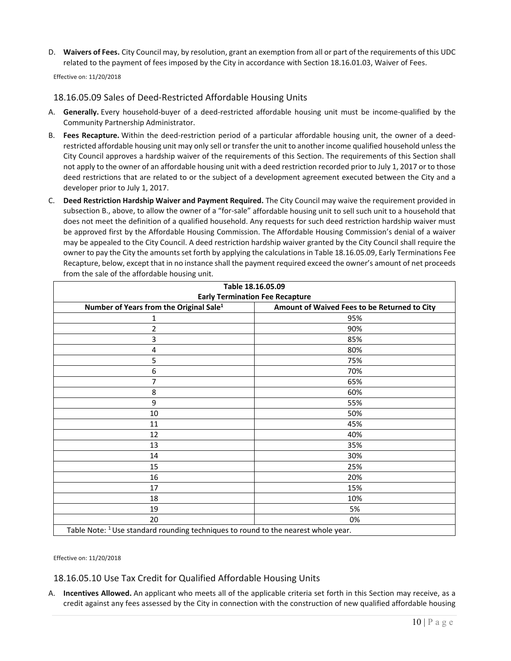D. **Waivers of Fees.** City Council may, by resolution, grant an exemption from all or part of the requirements of this UDC related to the payment of fees imposed by the City in accordance with Section 18.16.01.03, Waiver of Fees.

Effective on: 11/20/2018

## 18.16.05.09 Sales of Deed‐Restricted Affordable Housing Units

- A. **Generally.** Every household-buyer of a deed-restricted affordable housing unit must be income-qualified by the Community Partnership Administrator.
- B. **Fees Recapture.** Within the deed‐restriction period of a particular affordable housing unit, the owner of a deed‐ restricted affordable housing unit may only sell or transfer the unit to another income qualified household unless the City Council approves a hardship waiver of the requirements of this Section. The requirements of this Section shall not apply to the owner of an affordable housing unit with a deed restriction recorded prior to July 1, 2017 or to those deed restrictions that are related to or the subject of a development agreement executed between the City and a developer prior to July 1, 2017.
- C. **Deed Restriction Hardship Waiver and Payment Required.** The City Council may waive the requirement provided in subsection B., above, to allow the owner of a "for-sale" affordable housing unit to sell such unit to a household that does not meet the definition of a qualified household. Any requests for such deed restriction hardship waiver must be approved first by the Affordable Housing Commission. The Affordable Housing Commission's denial of a waiver may be appealed to the City Council. A deed restriction hardship waiver granted by the City Council shall require the owner to pay the City the amounts set forth by applying the calculations in Table 18.16.05.09, Early Terminations Fee Recapture, below, except that in no instance shall the payment required exceed the owner's amount of net proceeds from the sale of the affordable housing unit.

| Table 18.16.05.09<br><b>Early Termination Fee Recapture</b>                                   |     |  |
|-----------------------------------------------------------------------------------------------|-----|--|
|                                                                                               |     |  |
| 1                                                                                             | 95% |  |
| 2                                                                                             | 90% |  |
| 3                                                                                             | 85% |  |
| 4                                                                                             | 80% |  |
| 5                                                                                             | 75% |  |
| 6                                                                                             | 70% |  |
| 7                                                                                             | 65% |  |
| 8                                                                                             | 60% |  |
| 9                                                                                             | 55% |  |
| 10                                                                                            | 50% |  |
| 11                                                                                            | 45% |  |
| 12                                                                                            | 40% |  |
| 13                                                                                            | 35% |  |
| 14                                                                                            | 30% |  |
| 15                                                                                            | 25% |  |
| 16                                                                                            | 20% |  |
| 17                                                                                            | 15% |  |
| 18                                                                                            | 10% |  |
| 19                                                                                            | 5%  |  |
| 20                                                                                            | 0%  |  |
| Table Note: <sup>1</sup> Use standard rounding techniques to round to the nearest whole year. |     |  |

Effective on: 11/20/2018

18.16.05.10 Use Tax Credit for Qualified Affordable Housing Units

A. **Incentives Allowed.** An applicant who meets all of the applicable criteria set forth in this Section may receive, as a credit against any fees assessed by the City in connection with the construction of new qualified affordable housing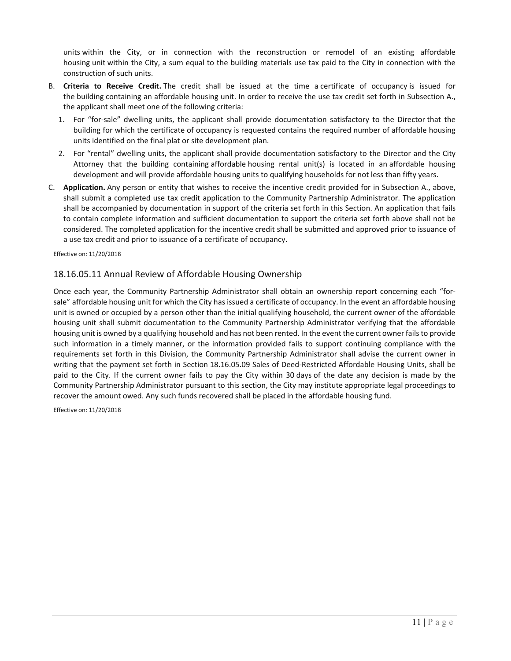units within the City, or in connection with the reconstruction or remodel of an existing affordable housing unit within the City, a sum equal to the building materials use tax paid to the City in connection with the construction of such units.

- B. **Criteria to Receive Credit.** The credit shall be issued at the time a certificate of occupancy is issued for the building containing an affordable housing unit. In order to receive the use tax credit set forth in Subsection A., the applicant shall meet one of the following criteria:
	- 1. For "for-sale" dwelling units, the applicant shall provide documentation satisfactory to the Director that the building for which the certificate of occupancy is requested contains the required number of affordable housing units identified on the final plat or site development plan.
	- 2. For "rental" dwelling units, the applicant shall provide documentation satisfactory to the Director and the City Attorney that the building containing affordable housing rental unit(s) is located in an affordable housing development and will provide affordable housing units to qualifying households for not less than fifty years.
- C. **Application.** Any person or entity that wishes to receive the incentive credit provided for in Subsection A., above, shall submit a completed use tax credit application to the Community Partnership Administrator. The application shall be accompanied by documentation in support of the criteria set forth in this Section. An application that fails to contain complete information and sufficient documentation to support the criteria set forth above shall not be considered. The completed application for the incentive credit shall be submitted and approved prior to issuance of a use tax credit and prior to issuance of a certificate of occupancy.

Effective on: 11/20/2018

#### 18.16.05.11 Annual Review of Affordable Housing Ownership

Once each year, the Community Partnership Administrator shall obtain an ownership report concerning each "for‐ sale" affordable housing unit for which the City has issued a certificate of occupancy. In the event an affordable housing unit is owned or occupied by a person other than the initial qualifying household, the current owner of the affordable housing unit shall submit documentation to the Community Partnership Administrator verifying that the affordable housing unit is owned by a qualifying household and has not been rented. In the event the current owner failsto provide such information in a timely manner, or the information provided fails to support continuing compliance with the requirements set forth in this Division, the Community Partnership Administrator shall advise the current owner in writing that the payment set forth in Section 18.16.05.09 Sales of Deed‐Restricted Affordable Housing Units, shall be paid to the City. If the current owner fails to pay the City within 30 days of the date any decision is made by the Community Partnership Administrator pursuant to this section, the City may institute appropriate legal proceedings to recover the amount owed. Any such funds recovered shall be placed in the affordable housing fund.

Effective on: 11/20/2018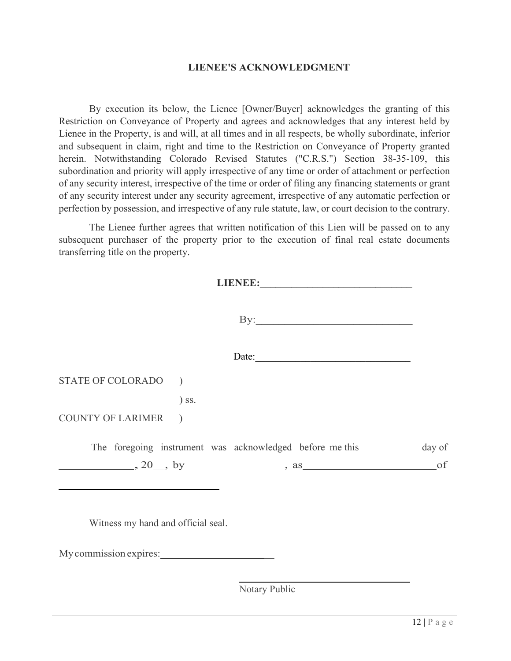## **LIENEE'S ACKNOWLEDGMENT**

By execution its below, the Lienee [Owner/Buyer] acknowledges the granting of this Restriction on Conveyance of Property and agrees and acknowledges that any interest held by Lienee in the Property, is and will, at all times and in all respects, be wholly subordinate, inferior and subsequent in claim, right and time to the Restriction on Conveyance of Property granted herein. Notwithstanding Colorado Revised Statutes ("C.R.S.") Section 38-35-109, this subordination and priority will apply irrespective of any time or order of attachment or perfection of any security interest, irrespective of the time or order of filing any financing statements or grant of any security interest under any security agreement, irrespective of any automatic perfection or perfection by possession, and irrespective of any rule statute, law, or court decision to the contrary.

The Lienee further agrees that written notification of this Lien will be passed on to any subsequent purchaser of the property prior to the execution of final real estate documents transferring title on the property.

|                                                         | $\mathbf{By:}\_\_\_\_\_\_\_\_$ |        |
|---------------------------------------------------------|--------------------------------|--------|
|                                                         | Date: $\qquad \qquad$          |        |
| STATE OF COLORADO )                                     |                                |        |
| $)$ ss.                                                 |                                |        |
| <b>COUNTY OF LARIMER</b><br>$\overline{\phantom{a}}$    |                                |        |
| The foregoing instrument was acknowledged before methis |                                | day of |
| $\frac{1}{20}$ , 20, by                                 | , as                           | of     |
|                                                         |                                |        |
|                                                         |                                |        |

Witness my hand and official seal.

My commission expires:

Notary Public